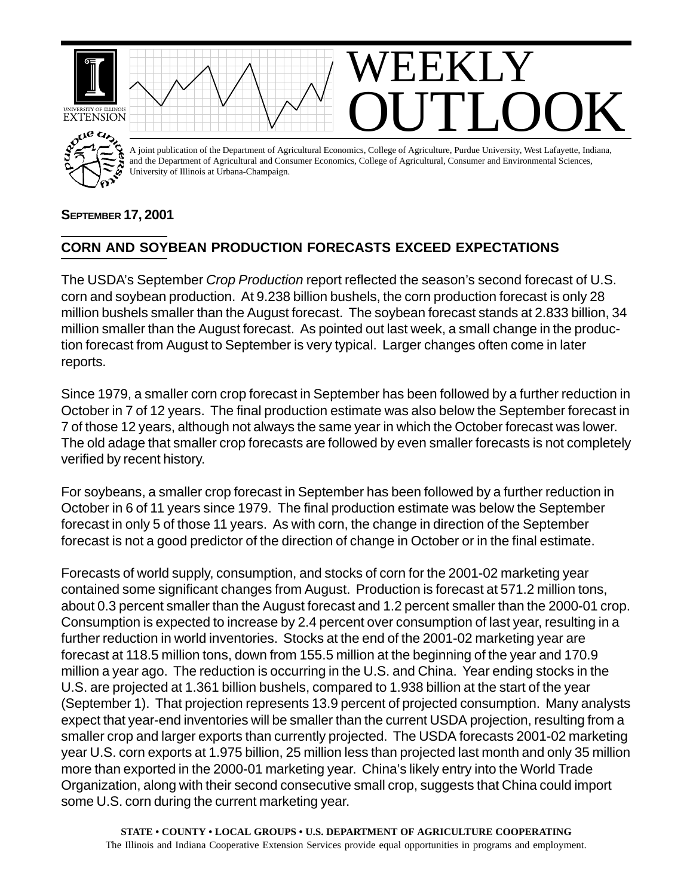

## **SEPTEMBER 17, 2001**

## **CORN AND SOYBEAN PRODUCTION FORECASTS EXCEED EXPECTATIONS**

The USDA's September *Crop Production* report reflected the season's second forecast of U.S. corn and soybean production. At 9.238 billion bushels, the corn production forecast is only 28 million bushels smaller than the August forecast. The soybean forecast stands at 2.833 billion, 34 million smaller than the August forecast. As pointed out last week, a small change in the production forecast from August to September is very typical. Larger changes often come in later reports.

Since 1979, a smaller corn crop forecast in September has been followed by a further reduction in October in 7 of 12 years. The final production estimate was also below the September forecast in 7 of those 12 years, although not always the same year in which the October forecast was lower. The old adage that smaller crop forecasts are followed by even smaller forecasts is not completely verified by recent history.

For soybeans, a smaller crop forecast in September has been followed by a further reduction in October in 6 of 11 years since 1979. The final production estimate was below the September forecast in only 5 of those 11 years. As with corn, the change in direction of the September forecast is not a good predictor of the direction of change in October or in the final estimate.

Forecasts of world supply, consumption, and stocks of corn for the 2001-02 marketing year contained some significant changes from August. Production is forecast at 571.2 million tons, about 0.3 percent smaller than the August forecast and 1.2 percent smaller than the 2000-01 crop. Consumption is expected to increase by 2.4 percent over consumption of last year, resulting in a further reduction in world inventories. Stocks at the end of the 2001-02 marketing year are forecast at 118.5 million tons, down from 155.5 million at the beginning of the year and 170.9 million a year ago. The reduction is occurring in the U.S. and China. Year ending stocks in the U.S. are projected at 1.361 billion bushels, compared to 1.938 billion at the start of the year (September 1). That projection represents 13.9 percent of projected consumption. Many analysts expect that year-end inventories will be smaller than the current USDA projection, resulting from a smaller crop and larger exports than currently projected. The USDA forecasts 2001-02 marketing year U.S. corn exports at 1.975 billion, 25 million less than projected last month and only 35 million more than exported in the 2000-01 marketing year. China's likely entry into the World Trade Organization, along with their second consecutive small crop, suggests that China could import some U.S. corn during the current marketing year.